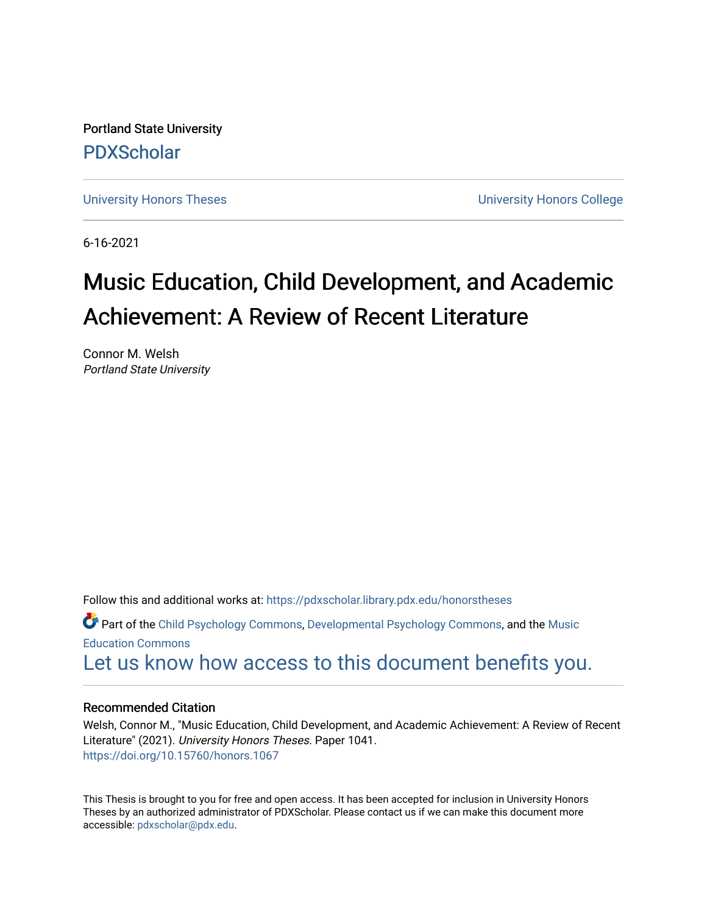Portland State University [PDXScholar](https://pdxscholar.library.pdx.edu/)

[University Honors Theses](https://pdxscholar.library.pdx.edu/honorstheses) [University Honors College](https://pdxscholar.library.pdx.edu/honors) 

6-16-2021

# Music Education, Child Development, and Academic Achievement: A Review of Recent Literature

Connor M. Welsh Portland State University

Follow this and additional works at: [https://pdxscholar.library.pdx.edu/honorstheses](https://pdxscholar.library.pdx.edu/honorstheses?utm_source=pdxscholar.library.pdx.edu%2Fhonorstheses%2F1041&utm_medium=PDF&utm_campaign=PDFCoverPages) 

Part of the [Child Psychology Commons,](http://network.bepress.com/hgg/discipline/1023?utm_source=pdxscholar.library.pdx.edu%2Fhonorstheses%2F1041&utm_medium=PDF&utm_campaign=PDFCoverPages) [Developmental Psychology Commons,](http://network.bepress.com/hgg/discipline/410?utm_source=pdxscholar.library.pdx.edu%2Fhonorstheses%2F1041&utm_medium=PDF&utm_campaign=PDFCoverPages) and the [Music](http://network.bepress.com/hgg/discipline/1246?utm_source=pdxscholar.library.pdx.edu%2Fhonorstheses%2F1041&utm_medium=PDF&utm_campaign=PDFCoverPages)  [Education Commons](http://network.bepress.com/hgg/discipline/1246?utm_source=pdxscholar.library.pdx.edu%2Fhonorstheses%2F1041&utm_medium=PDF&utm_campaign=PDFCoverPages) 

# [Let us know how access to this document benefits you.](http://library.pdx.edu/services/pdxscholar-services/pdxscholar-feedback/)

# Recommended Citation

Welsh, Connor M., "Music Education, Child Development, and Academic Achievement: A Review of Recent Literature" (2021). University Honors Theses. Paper 1041. <https://doi.org/10.15760/honors.1067>

This Thesis is brought to you for free and open access. It has been accepted for inclusion in University Honors Theses by an authorized administrator of PDXScholar. Please contact us if we can make this document more accessible: [pdxscholar@pdx.edu.](mailto:pdxscholar@pdx.edu)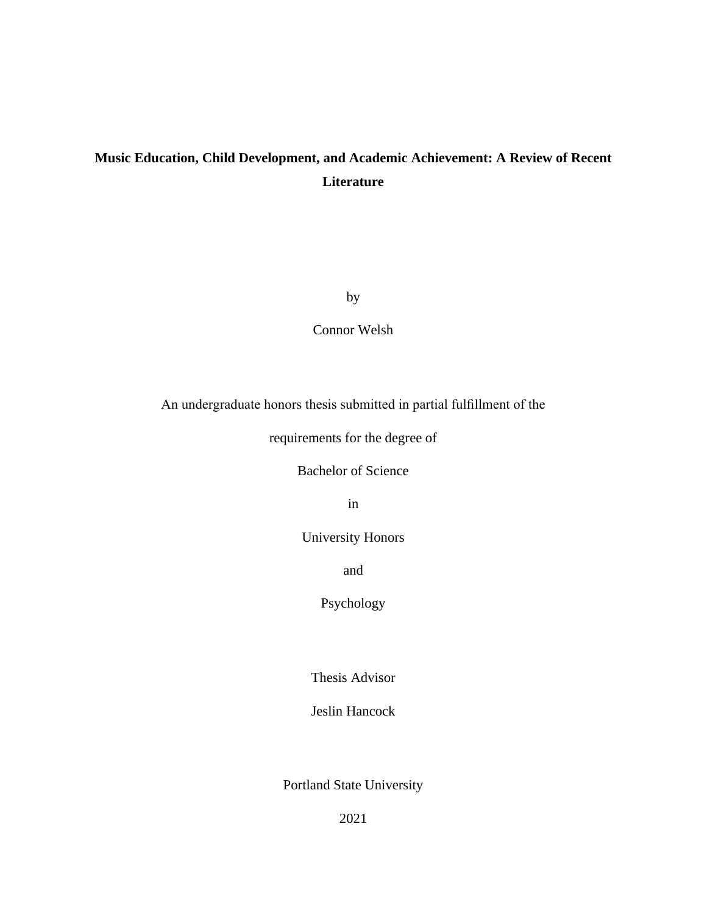# **Music Education, Child Development, and Academic Achievement: A Review of Recent Literature**

by

Connor Welsh

An undergraduate honors thesis submitted in partial fulfillment of the

requirements for the degree of

Bachelor of Science

in

University Honors

and

Psychology

Thesis Advisor

Jeslin Hancock

Portland State University

2021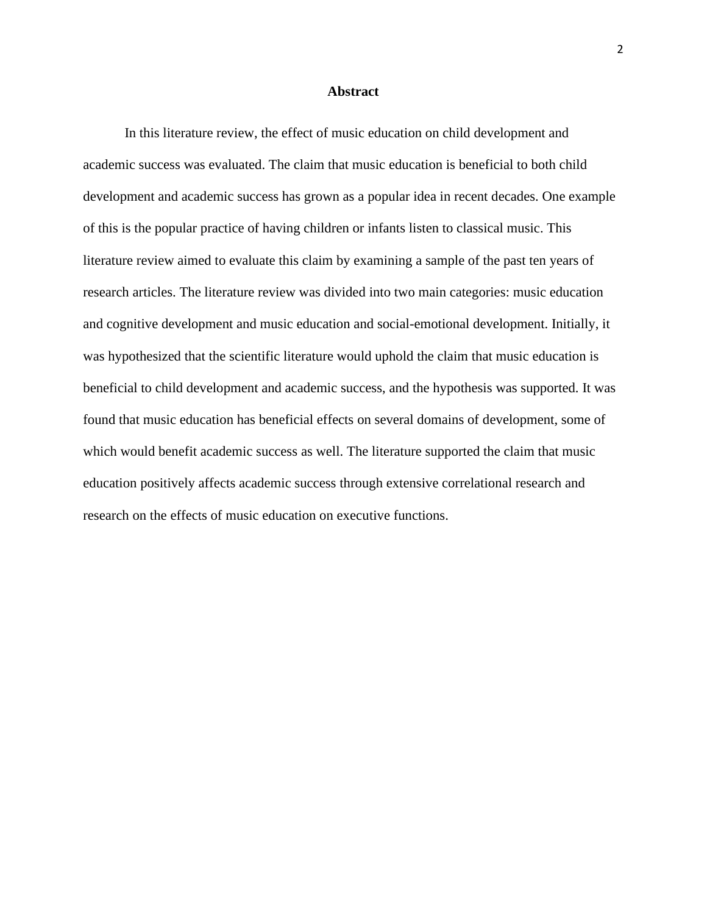#### **Abstract**

In this literature review, the effect of music education on child development and academic success was evaluated. The claim that music education is beneficial to both child development and academic success has grown as a popular idea in recent decades. One example of this is the popular practice of having children or infants listen to classical music. This literature review aimed to evaluate this claim by examining a sample of the past ten years of research articles. The literature review was divided into two main categories: music education and cognitive development and music education and social-emotional development. Initially, it was hypothesized that the scientific literature would uphold the claim that music education is beneficial to child development and academic success, and the hypothesis was supported. It was found that music education has beneficial effects on several domains of development, some of which would benefit academic success as well. The literature supported the claim that music education positively affects academic success through extensive correlational research and research on the effects of music education on executive functions.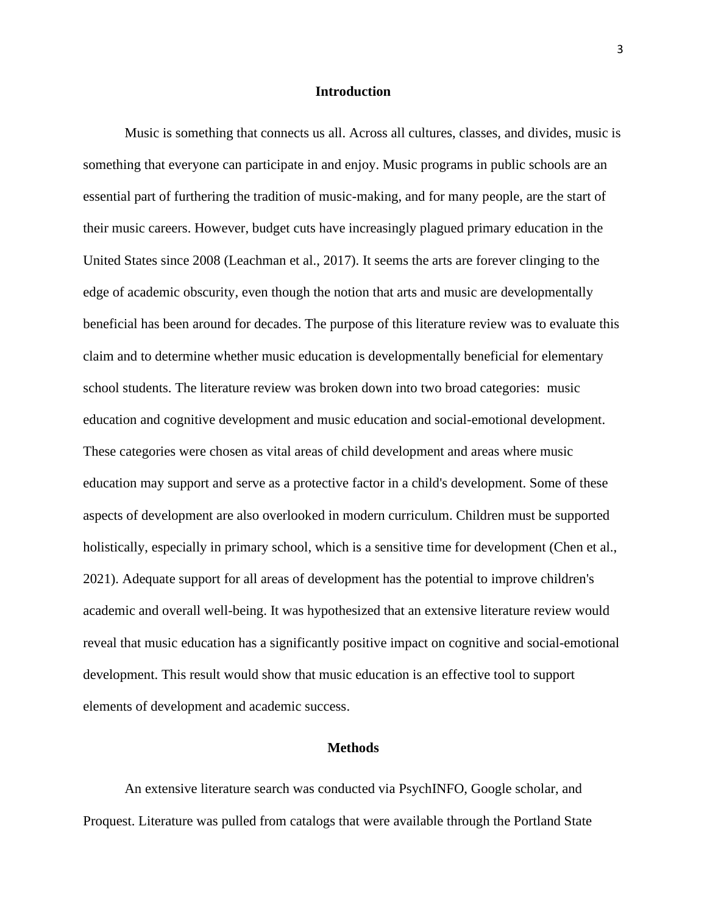### **Introduction**

Music is something that connects us all. Across all cultures, classes, and divides, music is something that everyone can participate in and enjoy. Music programs in public schools are an essential part of furthering the tradition of music-making, and for many people, are the start of their music careers. However, budget cuts have increasingly plagued primary education in the United States since 2008 (Leachman et al., 2017). It seems the arts are forever clinging to the edge of academic obscurity, even though the notion that arts and music are developmentally beneficial has been around for decades. The purpose of this literature review was to evaluate this claim and to determine whether music education is developmentally beneficial for elementary school students. The literature review was broken down into two broad categories: music education and cognitive development and music education and social-emotional development. These categories were chosen as vital areas of child development and areas where music education may support and serve as a protective factor in a child's development. Some of these aspects of development are also overlooked in modern curriculum. Children must be supported holistically, especially in primary school, which is a sensitive time for development (Chen et al., 2021). Adequate support for all areas of development has the potential to improve children's academic and overall well-being. It was hypothesized that an extensive literature review would reveal that music education has a significantly positive impact on cognitive and social-emotional development. This result would show that music education is an effective tool to support elements of development and academic success.

#### **Methods**

An extensive literature search was conducted via PsychINFO, Google scholar, and Proquest. Literature was pulled from catalogs that were available through the Portland State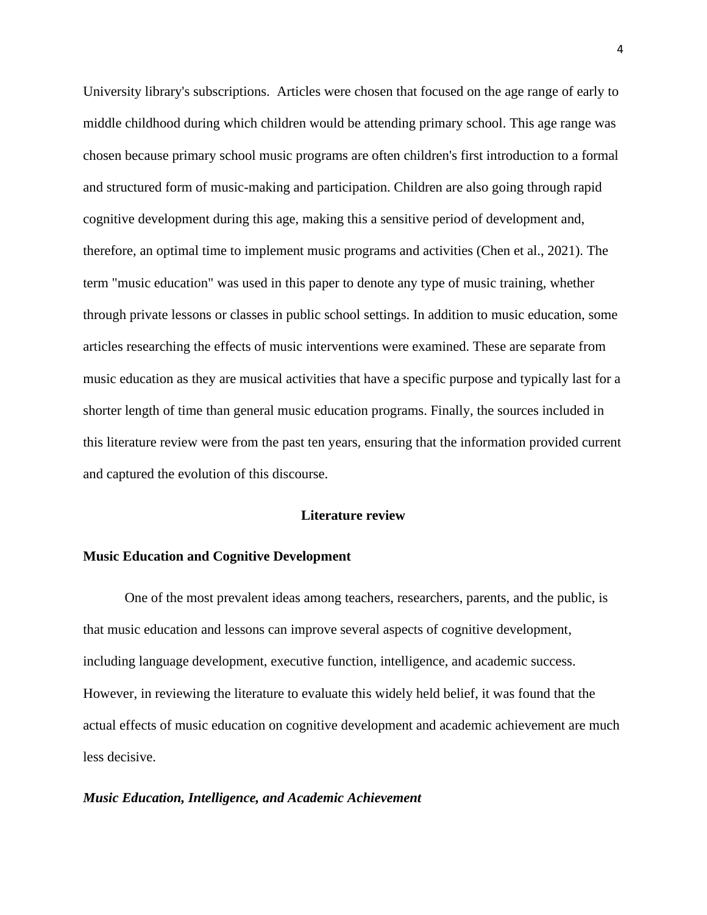University library's subscriptions. Articles were chosen that focused on the age range of early to middle childhood during which children would be attending primary school. This age range was chosen because primary school music programs are often children's first introduction to a formal and structured form of music-making and participation. Children are also going through rapid cognitive development during this age, making this a sensitive period of development and, therefore, an optimal time to implement music programs and activities (Chen et al., 2021). The term "music education" was used in this paper to denote any type of music training, whether through private lessons or classes in public school settings. In addition to music education, some articles researching the effects of music interventions were examined. These are separate from music education as they are musical activities that have a specific purpose and typically last for a shorter length of time than general music education programs. Finally, the sources included in this literature review were from the past ten years, ensuring that the information provided current and captured the evolution of this discourse.

### **Literature review**

# **Music Education and Cognitive Development**

One of the most prevalent ideas among teachers, researchers, parents, and the public, is that music education and lessons can improve several aspects of cognitive development, including language development, executive function, intelligence, and academic success. However, in reviewing the literature to evaluate this widely held belief, it was found that the actual effects of music education on cognitive development and academic achievement are much less decisive.

# *Music Education, Intelligence, and Academic Achievement*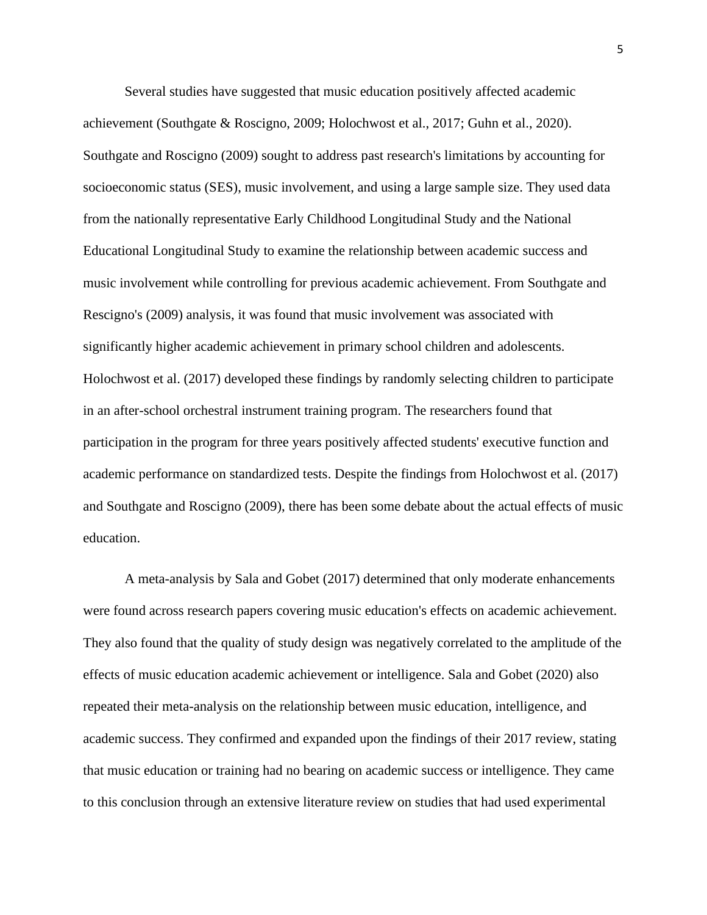Several studies have suggested that music education positively affected academic achievement (Southgate & Roscigno, 2009; Holochwost et al., 2017; Guhn et al., 2020). Southgate and Roscigno (2009) sought to address past research's limitations by accounting for socioeconomic status (SES), music involvement, and using a large sample size. They used data from the nationally representative Early Childhood Longitudinal Study and the National Educational Longitudinal Study to examine the relationship between academic success and music involvement while controlling for previous academic achievement. From Southgate and Rescigno's (2009) analysis, it was found that music involvement was associated with significantly higher academic achievement in primary school children and adolescents. Holochwost et al. (2017) developed these findings by randomly selecting children to participate in an after-school orchestral instrument training program. The researchers found that participation in the program for three years positively affected students' executive function and academic performance on standardized tests. Despite the findings from Holochwost et al. (2017) and Southgate and Roscigno (2009), there has been some debate about the actual effects of music education.

A meta-analysis by Sala and Gobet (2017) determined that only moderate enhancements were found across research papers covering music education's effects on academic achievement. They also found that the quality of study design was negatively correlated to the amplitude of the effects of music education academic achievement or intelligence. Sala and Gobet (2020) also repeated their meta-analysis on the relationship between music education, intelligence, and academic success. They confirmed and expanded upon the findings of their 2017 review, stating that music education or training had no bearing on academic success or intelligence. They came to this conclusion through an extensive literature review on studies that had used experimental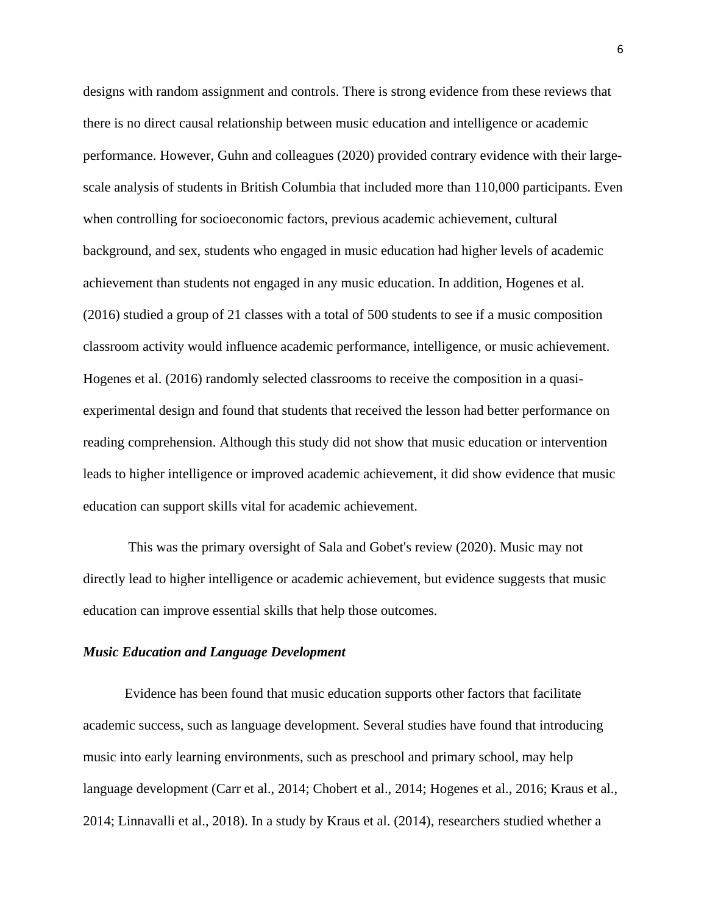designs with random assignment and controls. There is strong evidence from these reviews that there is no direct causal relationship between music education and intelligence or academic performance. However, Guhn and colleagues (2020) provided contrary evidence with their largescale analysis of students in British Columbia that included more than 110,000 participants. Even when controlling for socioeconomic factors, previous academic achievement, cultural background, and sex, students who engaged in music education had higher levels of academic achievement than students not engaged in any music education. In addition, Hogenes et al. (2016) studied a group of 21 classes with a total of 500 students to see if a music composition classroom activity would influence academic performance, intelligence, or music achievement. Hogenes et al. (2016) randomly selected classrooms to receive the composition in a quasiexperimental design and found that students that received the lesson had better performance on reading comprehension. Although this study did not show that music education or intervention leads to higher intelligence or improved academic achievement, it did show evidence that music education can support skills vital for academic achievement.

This was the primary oversight of Sala and Gobet's review (2020). Music may not directly lead to higher intelligence or academic achievement, but evidence suggests that music education can improve essential skills that help those outcomes.

# *Music Education and Language Development*

Evidence has been found that music education supports other factors that facilitate academic success, such as language development. Several studies have found that introducing music into early learning environments, such as preschool and primary school, may help language development (Carr et al., 2014; Chobert et al., 2014; Hogenes et al., 2016; Kraus et al., 2014; Linnavalli et al., 2018). In a study by Kraus et al. (2014), researchers studied whether a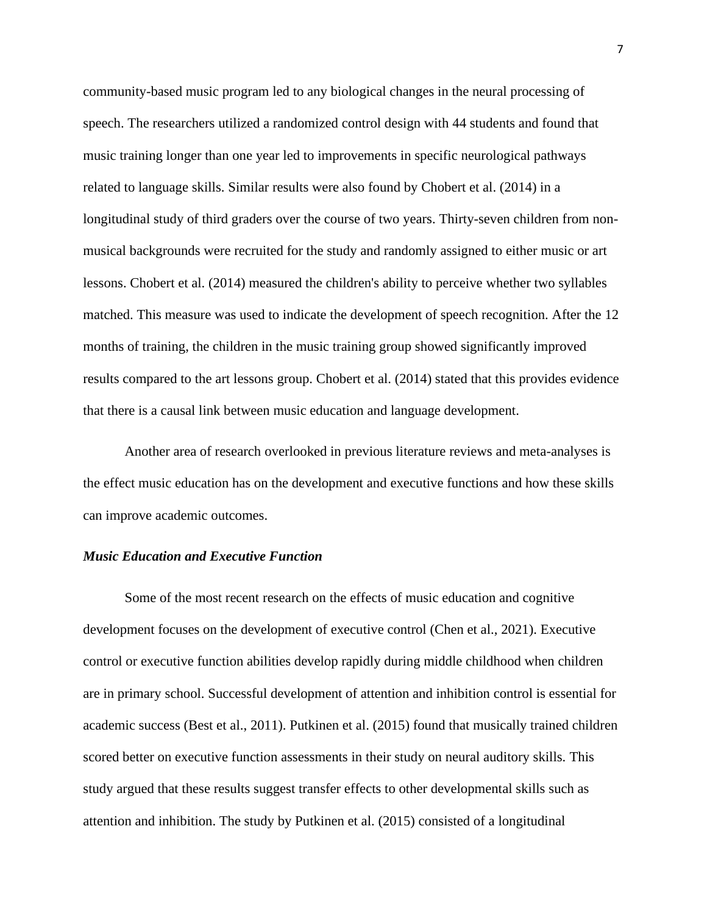community-based music program led to any biological changes in the neural processing of speech. The researchers utilized a randomized control design with 44 students and found that music training longer than one year led to improvements in specific neurological pathways related to language skills. Similar results were also found by Chobert et al. (2014) in a longitudinal study of third graders over the course of two years. Thirty-seven children from nonmusical backgrounds were recruited for the study and randomly assigned to either music or art lessons. Chobert et al. (2014) measured the children's ability to perceive whether two syllables matched. This measure was used to indicate the development of speech recognition. After the 12 months of training, the children in the music training group showed significantly improved results compared to the art lessons group. Chobert et al. (2014) stated that this provides evidence that there is a causal link between music education and language development.

Another area of research overlooked in previous literature reviews and meta-analyses is the effect music education has on the development and executive functions and how these skills can improve academic outcomes.

# *Music Education and Executive Function*

Some of the most recent research on the effects of music education and cognitive development focuses on the development of executive control (Chen et al., 2021). Executive control or executive function abilities develop rapidly during middle childhood when children are in primary school. Successful development of attention and inhibition control is essential for academic success (Best et al., 2011). Putkinen et al. (2015) found that musically trained children scored better on executive function assessments in their study on neural auditory skills. This study argued that these results suggest transfer effects to other developmental skills such as attention and inhibition. The study by Putkinen et al. (2015) consisted of a longitudinal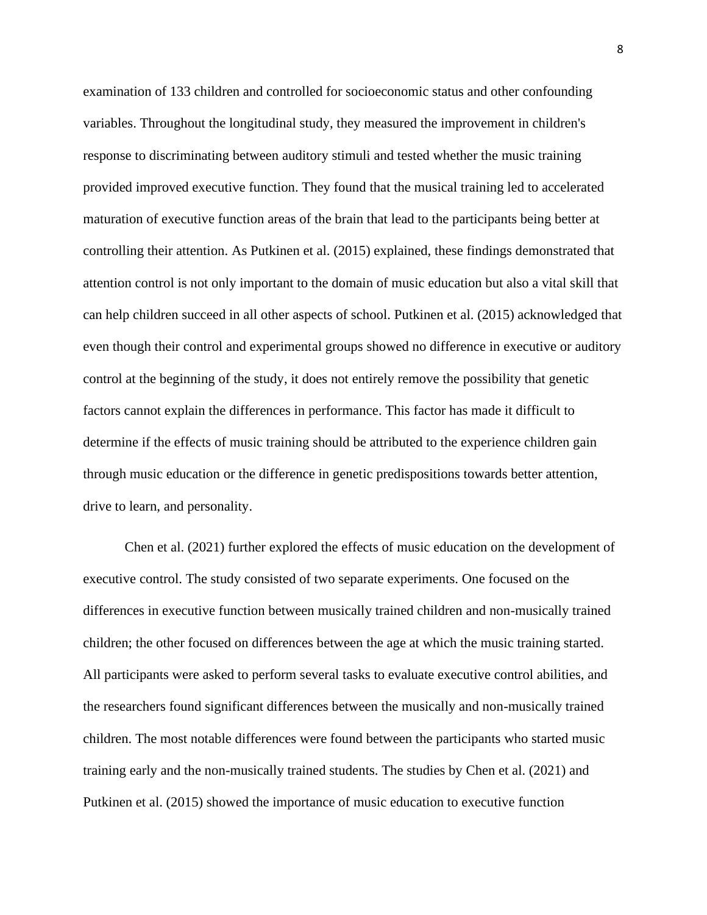examination of 133 children and controlled for socioeconomic status and other confounding variables. Throughout the longitudinal study, they measured the improvement in children's response to discriminating between auditory stimuli and tested whether the music training provided improved executive function. They found that the musical training led to accelerated maturation of executive function areas of the brain that lead to the participants being better at controlling their attention. As Putkinen et al. (2015) explained, these findings demonstrated that attention control is not only important to the domain of music education but also a vital skill that can help children succeed in all other aspects of school. Putkinen et al. (2015) acknowledged that even though their control and experimental groups showed no difference in executive or auditory control at the beginning of the study, it does not entirely remove the possibility that genetic factors cannot explain the differences in performance. This factor has made it difficult to determine if the effects of music training should be attributed to the experience children gain through music education or the difference in genetic predispositions towards better attention, drive to learn, and personality.

Chen et al. (2021) further explored the effects of music education on the development of executive control. The study consisted of two separate experiments. One focused on the differences in executive function between musically trained children and non-musically trained children; the other focused on differences between the age at which the music training started. All participants were asked to perform several tasks to evaluate executive control abilities, and the researchers found significant differences between the musically and non-musically trained children. The most notable differences were found between the participants who started music training early and the non-musically trained students. The studies by Chen et al. (2021) and Putkinen et al. (2015) showed the importance of music education to executive function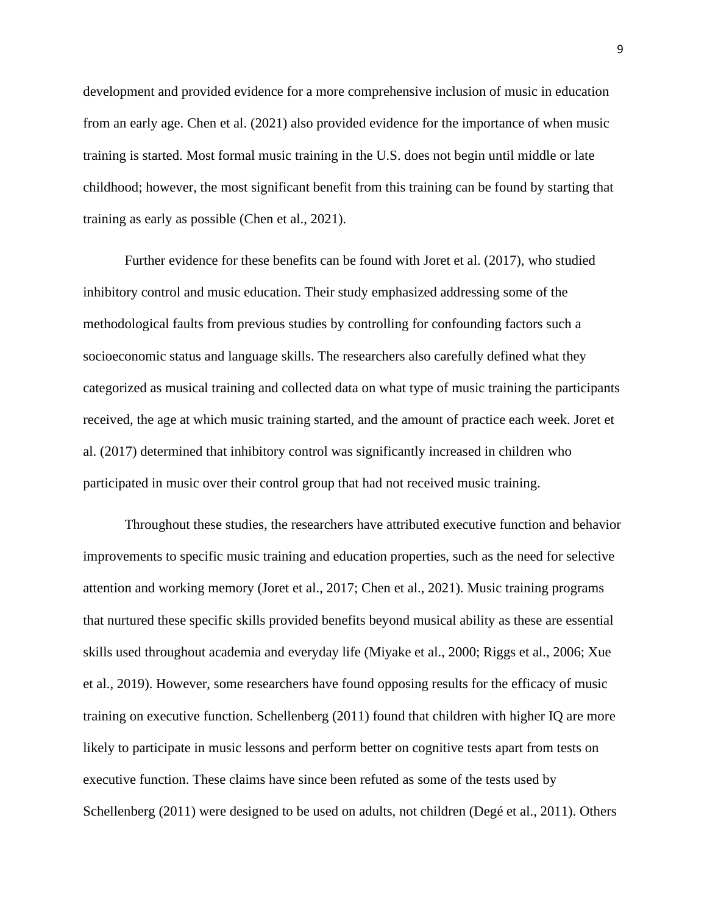development and provided evidence for a more comprehensive inclusion of music in education from an early age. Chen et al. (2021) also provided evidence for the importance of when music training is started. Most formal music training in the U.S. does not begin until middle or late childhood; however, the most significant benefit from this training can be found by starting that training as early as possible (Chen et al., 2021).

Further evidence for these benefits can be found with Joret et al. (2017), who studied inhibitory control and music education. Their study emphasized addressing some of the methodological faults from previous studies by controlling for confounding factors such a socioeconomic status and language skills. The researchers also carefully defined what they categorized as musical training and collected data on what type of music training the participants received, the age at which music training started, and the amount of practice each week. Joret et al. (2017) determined that inhibitory control was significantly increased in children who participated in music over their control group that had not received music training.

Throughout these studies, the researchers have attributed executive function and behavior improvements to specific music training and education properties, such as the need for selective attention and working memory (Joret et al., 2017; Chen et al., 2021). Music training programs that nurtured these specific skills provided benefits beyond musical ability as these are essential skills used throughout academia and everyday life (Miyake et al., 2000; Riggs et al., 2006; Xue et al., 2019). However, some researchers have found opposing results for the efficacy of music training on executive function. Schellenberg (2011) found that children with higher IQ are more likely to participate in music lessons and perform better on cognitive tests apart from tests on executive function. These claims have since been refuted as some of the tests used by Schellenberg (2011) were designed to be used on adults, not children (Degé et al., 2011). Others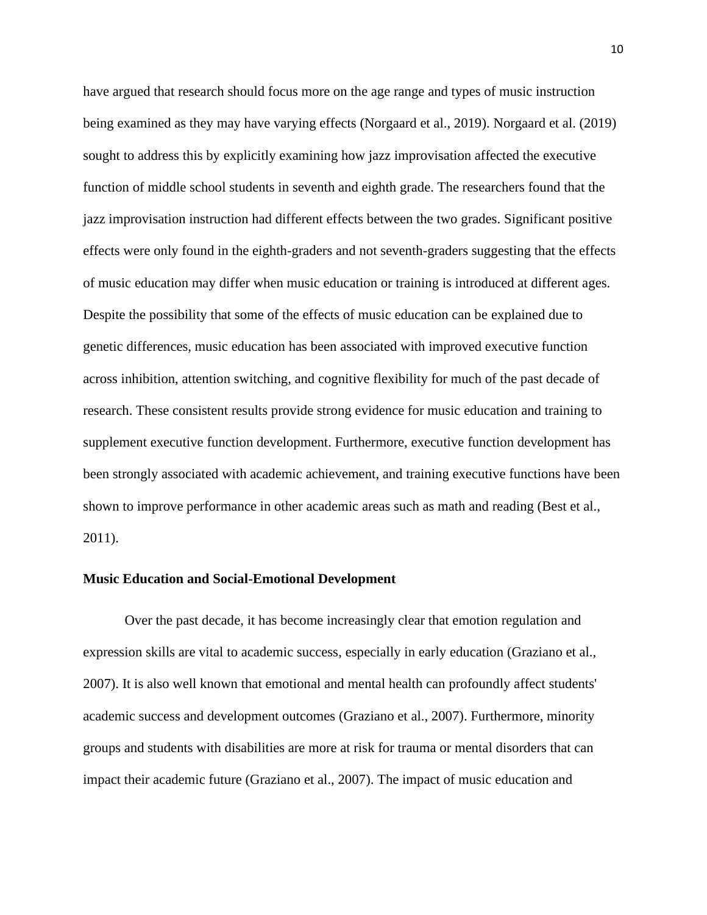have argued that research should focus more on the age range and types of music instruction being examined as they may have varying effects (Norgaard et al., 2019). Norgaard et al. (2019) sought to address this by explicitly examining how jazz improvisation affected the executive function of middle school students in seventh and eighth grade. The researchers found that the jazz improvisation instruction had different effects between the two grades. Significant positive effects were only found in the eighth-graders and not seventh-graders suggesting that the effects of music education may differ when music education or training is introduced at different ages. Despite the possibility that some of the effects of music education can be explained due to genetic differences, music education has been associated with improved executive function across inhibition, attention switching, and cognitive flexibility for much of the past decade of research. These consistent results provide strong evidence for music education and training to supplement executive function development. Furthermore, executive function development has been strongly associated with academic achievement, and training executive functions have been shown to improve performance in other academic areas such as math and reading (Best et al., 2011).

# **Music Education and Social-Emotional Development**

Over the past decade, it has become increasingly clear that emotion regulation and expression skills are vital to academic success, especially in early education (Graziano et al., 2007). It is also well known that emotional and mental health can profoundly affect students' academic success and development outcomes (Graziano et al., 2007). Furthermore, minority groups and students with disabilities are more at risk for trauma or mental disorders that can impact their academic future (Graziano et al., 2007). The impact of music education and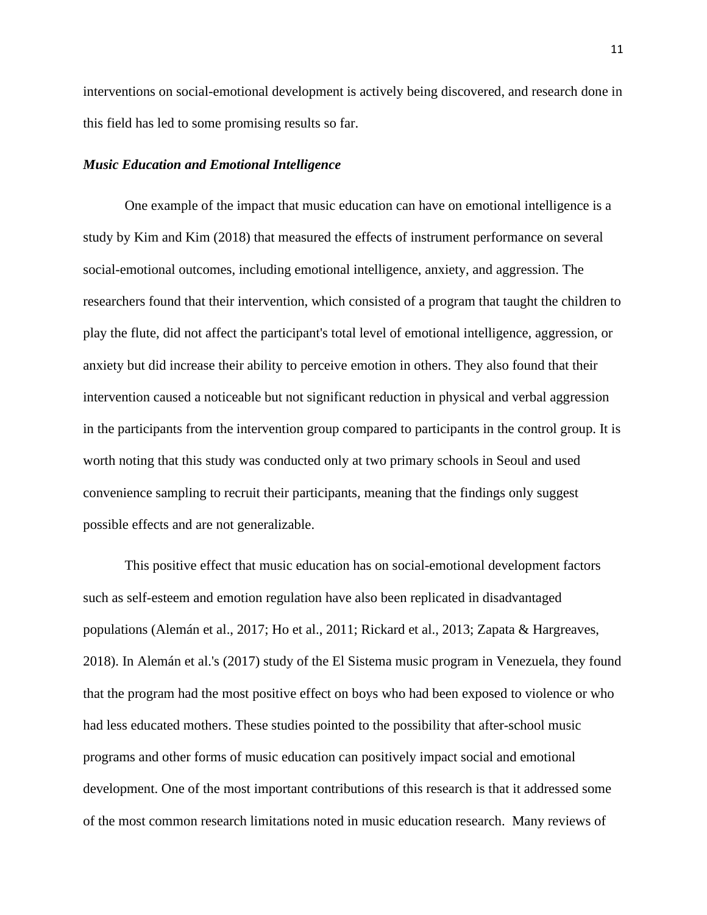interventions on social-emotional development is actively being discovered, and research done in this field has led to some promising results so far.

# *Music Education and Emotional Intelligence*

One example of the impact that music education can have on emotional intelligence is a study by Kim and Kim (2018) that measured the effects of instrument performance on several social-emotional outcomes, including emotional intelligence, anxiety, and aggression. The researchers found that their intervention, which consisted of a program that taught the children to play the flute, did not affect the participant's total level of emotional intelligence, aggression, or anxiety but did increase their ability to perceive emotion in others. They also found that their intervention caused a noticeable but not significant reduction in physical and verbal aggression in the participants from the intervention group compared to participants in the control group. It is worth noting that this study was conducted only at two primary schools in Seoul and used convenience sampling to recruit their participants, meaning that the findings only suggest possible effects and are not generalizable.

This positive effect that music education has on social-emotional development factors such as self-esteem and emotion regulation have also been replicated in disadvantaged populations (Alemán et al., 2017; Ho et al., 2011; Rickard et al., 2013; Zapata & Hargreaves, 2018). In Alemán et al.'s (2017) study of the El Sistema music program in Venezuela, they found that the program had the most positive effect on boys who had been exposed to violence or who had less educated mothers. These studies pointed to the possibility that after-school music programs and other forms of music education can positively impact social and emotional development. One of the most important contributions of this research is that it addressed some of the most common research limitations noted in music education research. Many reviews of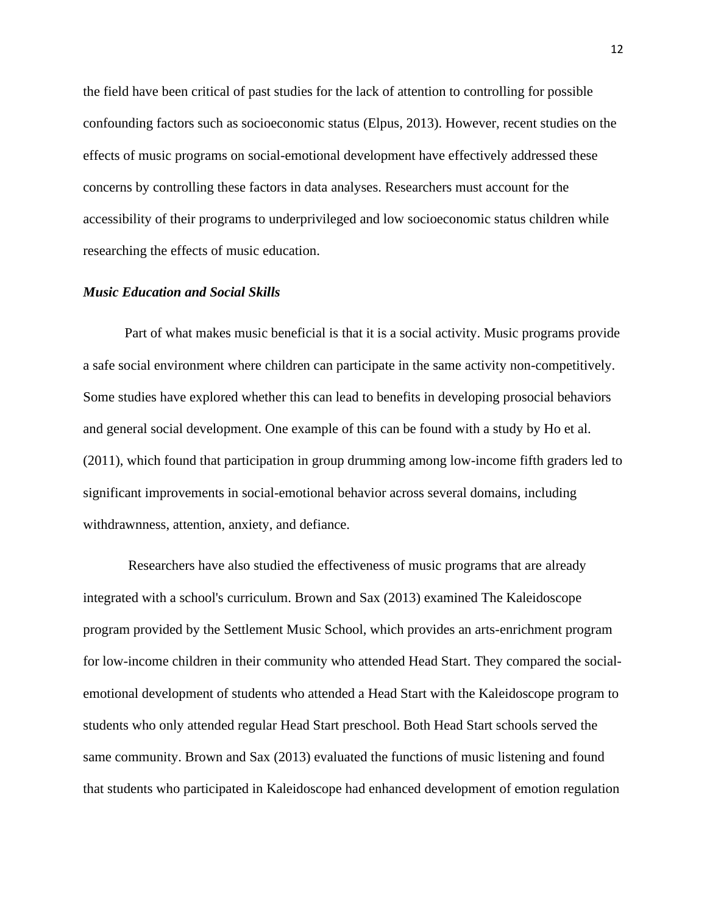the field have been critical of past studies for the lack of attention to controlling for possible confounding factors such as socioeconomic status (Elpus, 2013). However, recent studies on the effects of music programs on social-emotional development have effectively addressed these concerns by controlling these factors in data analyses. Researchers must account for the accessibility of their programs to underprivileged and low socioeconomic status children while researching the effects of music education.

# *Music Education and Social Skills*

Part of what makes music beneficial is that it is a social activity. Music programs provide a safe social environment where children can participate in the same activity non-competitively. Some studies have explored whether this can lead to benefits in developing prosocial behaviors and general social development. One example of this can be found with a study by Ho et al. (2011), which found that participation in group drumming among low-income fifth graders led to significant improvements in social-emotional behavior across several domains, including withdrawnness, attention, anxiety, and defiance.

Researchers have also studied the effectiveness of music programs that are already integrated with a school's curriculum. Brown and Sax (2013) examined The Kaleidoscope program provided by the Settlement Music School, which provides an arts-enrichment program for low-income children in their community who attended Head Start. They compared the socialemotional development of students who attended a Head Start with the Kaleidoscope program to students who only attended regular Head Start preschool. Both Head Start schools served the same community. Brown and Sax (2013) evaluated the functions of music listening and found that students who participated in Kaleidoscope had enhanced development of emotion regulation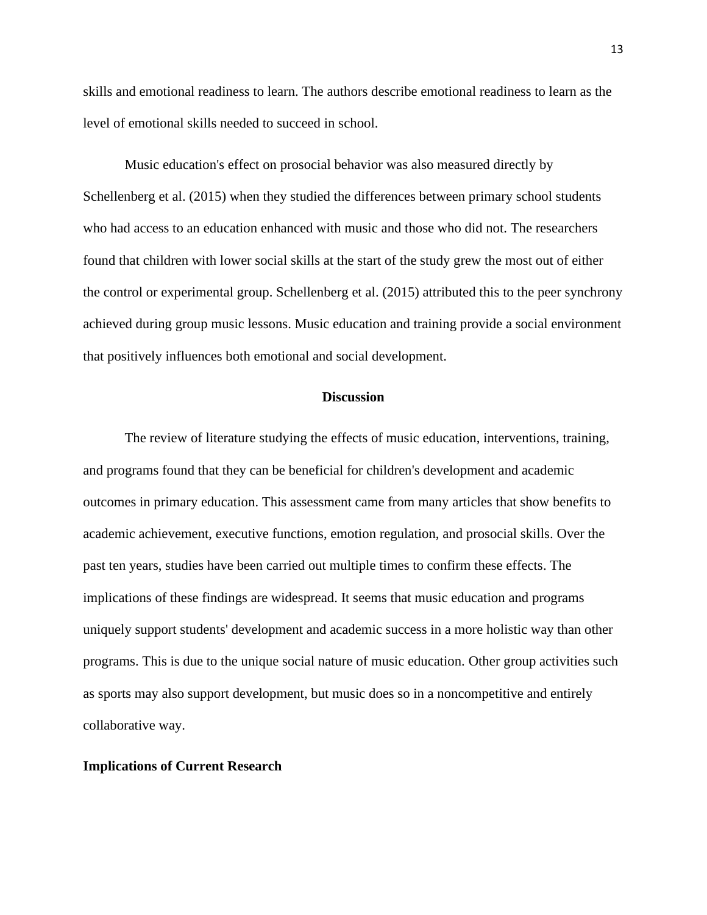skills and emotional readiness to learn. The authors describe emotional readiness to learn as the level of emotional skills needed to succeed in school.

Music education's effect on prosocial behavior was also measured directly by Schellenberg et al. (2015) when they studied the differences between primary school students who had access to an education enhanced with music and those who did not. The researchers found that children with lower social skills at the start of the study grew the most out of either the control or experimental group. Schellenberg et al. (2015) attributed this to the peer synchrony achieved during group music lessons. Music education and training provide a social environment that positively influences both emotional and social development.

# **Discussion**

The review of literature studying the effects of music education, interventions, training, and programs found that they can be beneficial for children's development and academic outcomes in primary education. This assessment came from many articles that show benefits to academic achievement, executive functions, emotion regulation, and prosocial skills. Over the past ten years, studies have been carried out multiple times to confirm these effects. The implications of these findings are widespread. It seems that music education and programs uniquely support students' development and academic success in a more holistic way than other programs. This is due to the unique social nature of music education. Other group activities such as sports may also support development, but music does so in a noncompetitive and entirely collaborative way.

#### **Implications of Current Research**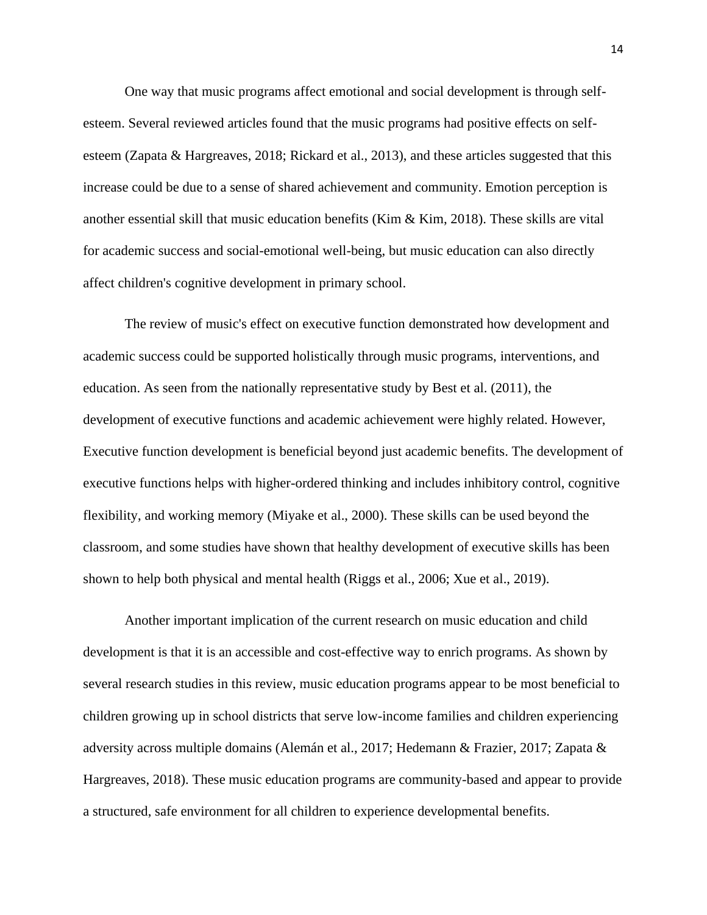One way that music programs affect emotional and social development is through selfesteem. Several reviewed articles found that the music programs had positive effects on selfesteem (Zapata & Hargreaves, 2018; Rickard et al., 2013), and these articles suggested that this increase could be due to a sense of shared achievement and community. Emotion perception is another essential skill that music education benefits (Kim & Kim, 2018). These skills are vital for academic success and social-emotional well-being, but music education can also directly affect children's cognitive development in primary school.

The review of music's effect on executive function demonstrated how development and academic success could be supported holistically through music programs, interventions, and education. As seen from the nationally representative study by Best et al. (2011), the development of executive functions and academic achievement were highly related. However, Executive function development is beneficial beyond just academic benefits. The development of executive functions helps with higher-ordered thinking and includes inhibitory control, cognitive flexibility, and working memory (Miyake et al., 2000). These skills can be used beyond the classroom, and some studies have shown that healthy development of executive skills has been shown to help both physical and mental health (Riggs et al., 2006; Xue et al., 2019).

Another important implication of the current research on music education and child development is that it is an accessible and cost-effective way to enrich programs. As shown by several research studies in this review, music education programs appear to be most beneficial to children growing up in school districts that serve low-income families and children experiencing adversity across multiple domains (Alemán et al., 2017; Hedemann & Frazier, 2017; Zapata & Hargreaves, 2018). These music education programs are community-based and appear to provide a structured, safe environment for all children to experience developmental benefits.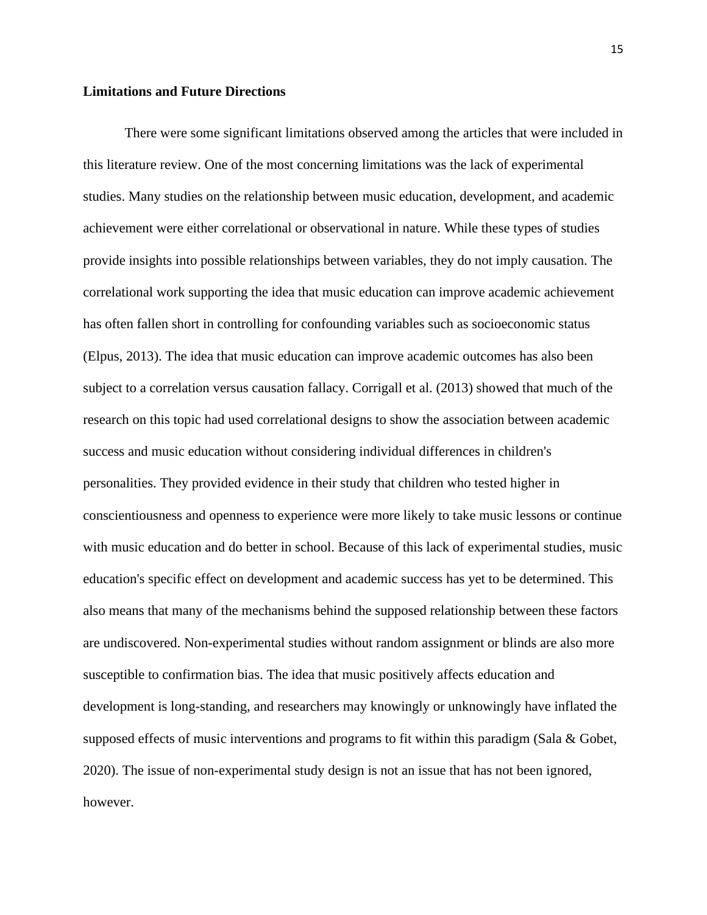# **Limitations and Future Directions**

There were some significant limitations observed among the articles that were included in this literature review. One of the most concerning limitations was the lack of experimental studies. Many studies on the relationship between music education, development, and academic achievement were either correlational or observational in nature. While these types of studies provide insights into possible relationships between variables, they do not imply causation. The correlational work supporting the idea that music education can improve academic achievement has often fallen short in controlling for confounding variables such as socioeconomic status (Elpus, 2013). The idea that music education can improve academic outcomes has also been subject to a correlation versus causation fallacy. Corrigall et al. (2013) showed that much of the research on this topic had used correlational designs to show the association between academic success and music education without considering individual differences in children's personalities. They provided evidence in their study that children who tested higher in conscientiousness and openness to experience were more likely to take music lessons or continue with music education and do better in school. Because of this lack of experimental studies, music education's specific effect on development and academic success has yet to be determined. This also means that many of the mechanisms behind the supposed relationship between these factors are undiscovered. Non-experimental studies without random assignment or blinds are also more susceptible to confirmation bias. The idea that music positively affects education and development is long-standing, and researchers may knowingly or unknowingly have inflated the supposed effects of music interventions and programs to fit within this paradigm (Sala & Gobet, 2020). The issue of non-experimental study design is not an issue that has not been ignored, however.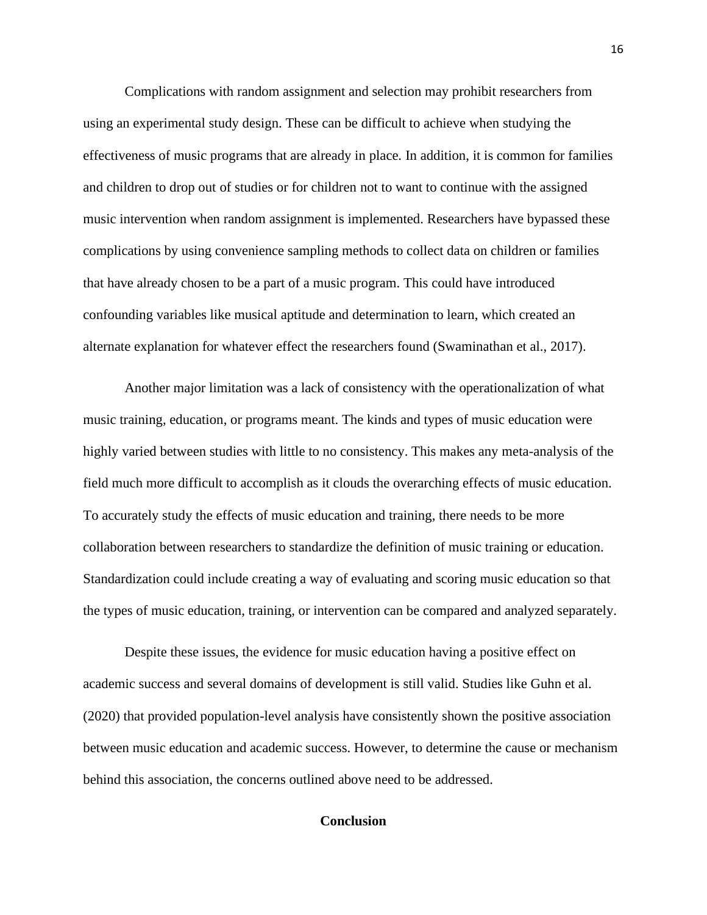Complications with random assignment and selection may prohibit researchers from using an experimental study design. These can be difficult to achieve when studying the effectiveness of music programs that are already in place. In addition, it is common for families and children to drop out of studies or for children not to want to continue with the assigned music intervention when random assignment is implemented. Researchers have bypassed these complications by using convenience sampling methods to collect data on children or families that have already chosen to be a part of a music program. This could have introduced confounding variables like musical aptitude and determination to learn, which created an alternate explanation for whatever effect the researchers found (Swaminathan et al., 2017).

Another major limitation was a lack of consistency with the operationalization of what music training, education, or programs meant. The kinds and types of music education were highly varied between studies with little to no consistency. This makes any meta-analysis of the field much more difficult to accomplish as it clouds the overarching effects of music education. To accurately study the effects of music education and training, there needs to be more collaboration between researchers to standardize the definition of music training or education. Standardization could include creating a way of evaluating and scoring music education so that the types of music education, training, or intervention can be compared and analyzed separately.

Despite these issues, the evidence for music education having a positive effect on academic success and several domains of development is still valid. Studies like Guhn et al. (2020) that provided population-level analysis have consistently shown the positive association between music education and academic success. However, to determine the cause or mechanism behind this association, the concerns outlined above need to be addressed.

# **Conclusion**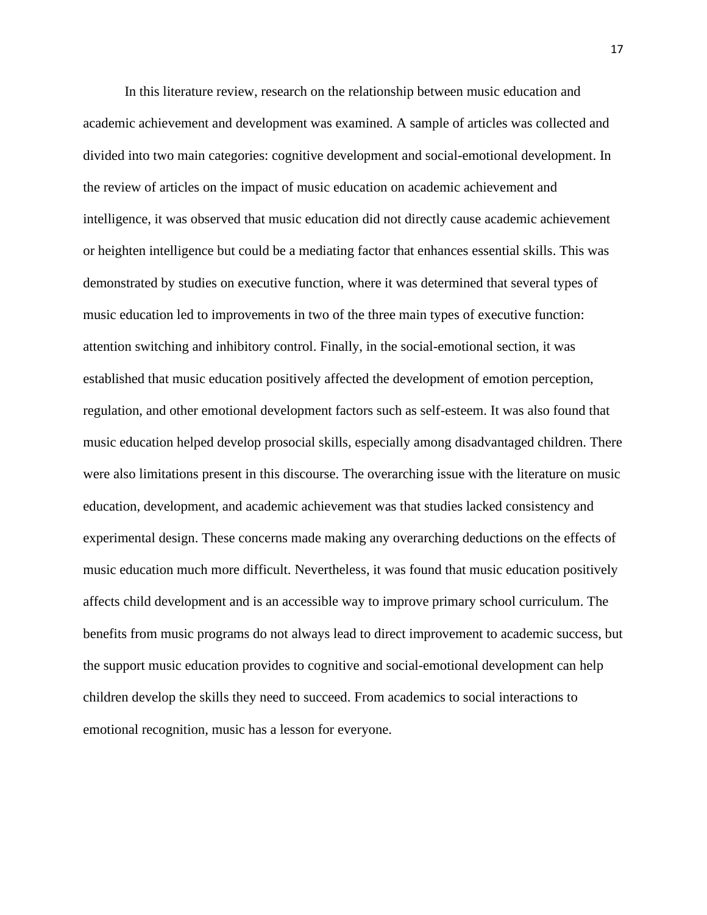In this literature review, research on the relationship between music education and academic achievement and development was examined. A sample of articles was collected and divided into two main categories: cognitive development and social-emotional development. In the review of articles on the impact of music education on academic achievement and intelligence, it was observed that music education did not directly cause academic achievement or heighten intelligence but could be a mediating factor that enhances essential skills. This was demonstrated by studies on executive function, where it was determined that several types of music education led to improvements in two of the three main types of executive function: attention switching and inhibitory control. Finally, in the social-emotional section, it was established that music education positively affected the development of emotion perception, regulation, and other emotional development factors such as self-esteem. It was also found that music education helped develop prosocial skills, especially among disadvantaged children. There were also limitations present in this discourse. The overarching issue with the literature on music education, development, and academic achievement was that studies lacked consistency and experimental design. These concerns made making any overarching deductions on the effects of music education much more difficult. Nevertheless, it was found that music education positively affects child development and is an accessible way to improve primary school curriculum. The benefits from music programs do not always lead to direct improvement to academic success, but the support music education provides to cognitive and social-emotional development can help children develop the skills they need to succeed. From academics to social interactions to emotional recognition, music has a lesson for everyone.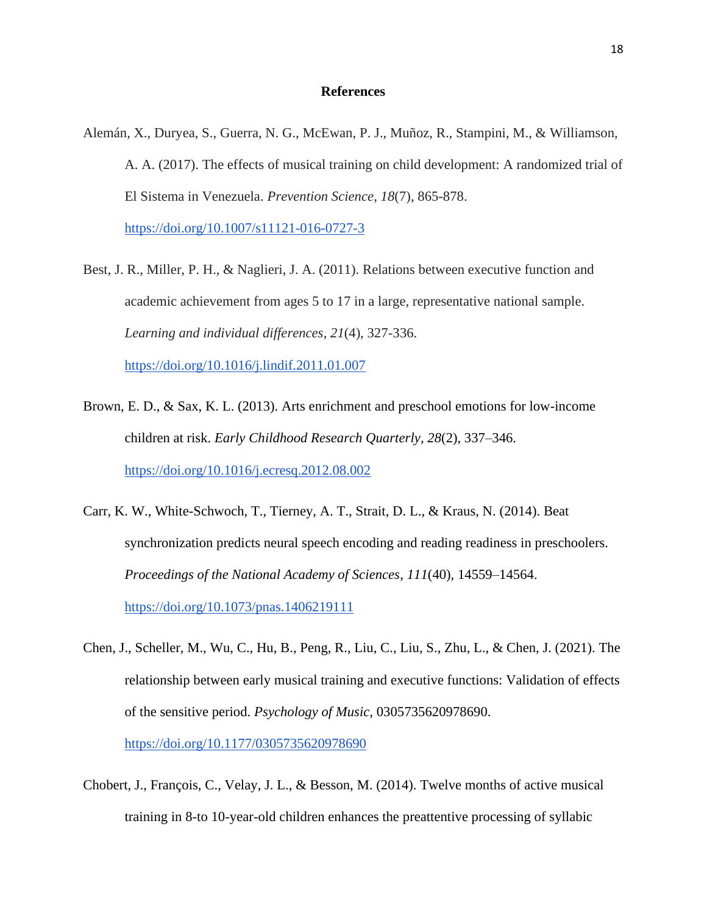### **References**

Alemán, X., Duryea, S., Guerra, N. G., McEwan, P. J., Muñoz, R., Stampini, M., & Williamson, A. A. (2017). The effects of musical training on child development: A randomized trial of El Sistema in Venezuela. *Prevention Science*, *18*(7), 865-878.

<https://doi.org/10.1007/s11121-016-0727-3>

- Best, J. R., Miller, P. H., & Naglieri, J. A. (2011). Relations between executive function and academic achievement from ages 5 to 17 in a large, representative national sample. *Learning and individual differences*, *21*(4), 327-336. <https://doi.org/10.1016/j.lindif.2011.01.007>
- Brown, E. D., & Sax, K. L. (2013). Arts enrichment and preschool emotions for low-income children at risk. *Early Childhood Research Quarterly*, *28*(2), 337–346[.](https://doi.org/10.1016/j.ecresq.2012.08.002) <https://doi.org/10.1016/j.ecresq.2012.08.002>
- Carr, K. W., White-Schwoch, T., Tierney, A. T., Strait, D. L., & Kraus, N. (2014). Beat synchronization predicts neural speech encoding and reading readiness in preschoolers. *Proceedings of the National Academy of Sciences*, *111*(40), 14559–14564[.](https://doi.org/10.1073/pnas.1406219111) <https://doi.org/10.1073/pnas.1406219111>
- Chen, J., Scheller, M., Wu, C., Hu, B., Peng, R., Liu, C., Liu, S., Zhu, L., & Chen, J. (2021). The relationship between early musical training and executive functions: Validation of effects of the sensitive period. *Psychology of Music*, 0305735620978690[.](https://doi.org/10.1177/0305735620978690) <https://doi.org/10.1177/0305735620978690>
- Chobert, J., François, C., Velay, J. L., & Besson, M. (2014). Twelve months of active musical training in 8-to 10-year-old children enhances the preattentive processing of syllabic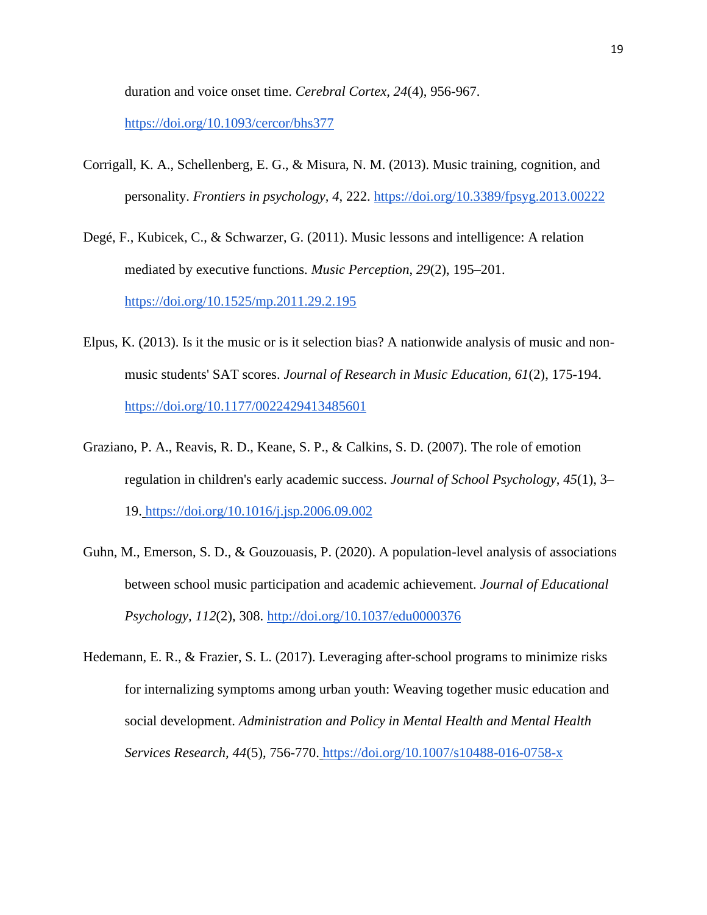duration and voice onset time. *Cerebral Cortex, 24*(4), 956-967.

<https://doi.org/10.1093/cercor/bhs377>

- Corrigall, K. A., Schellenberg, E. G., & Misura, N. M. (2013). Music training, cognition, and personality. *Frontiers in psychology, 4*, 222.<https://doi.org/10.3389/fpsyg.2013.00222>
- Degé, F., Kubicek, C., & Schwarzer, G. (2011). Music lessons and intelligence: A relation mediated by executive functions. *Music Perception*, *29*(2), 195–201. <https://doi.org/10.1525/mp.2011.29.2.195>
- Elpus, K. (2013). Is it the music or is it selection bias? A nationwide analysis of music and nonmusic students' SAT scores. *Journal of Research in Music Education, 61*(2), 175-194[.](https://doi.org/10.1177/0022429413485601) <https://doi.org/10.1177/0022429413485601>
- Graziano, P. A., Reavis, R. D., Keane, S. P., & Calkins, S. D. (2007). The role of emotion regulation in children's early academic success. *Journal of School Psychology*, *45*(1), 3– 19. <https://doi.org/10.1016/j.jsp.2006.09.002>
- Guhn, M., Emerson, S. D., & Gouzouasis, P. (2020). A population-level analysis of associations between school music participation and academic achievement. *Journal of Educational Psychology, 112*(2), 308.<http://doi.org/10.1037/edu0000376>
- Hedemann, E. R., & Frazier, S. L. (2017). Leveraging after-school programs to minimize risks for internalizing symptoms among urban youth: Weaving together music education and social development. *Administration and Policy in Mental Health and Mental Health Services Research, 44*(5), 756-770. <https://doi.org/10.1007/s10488-016-0758-x>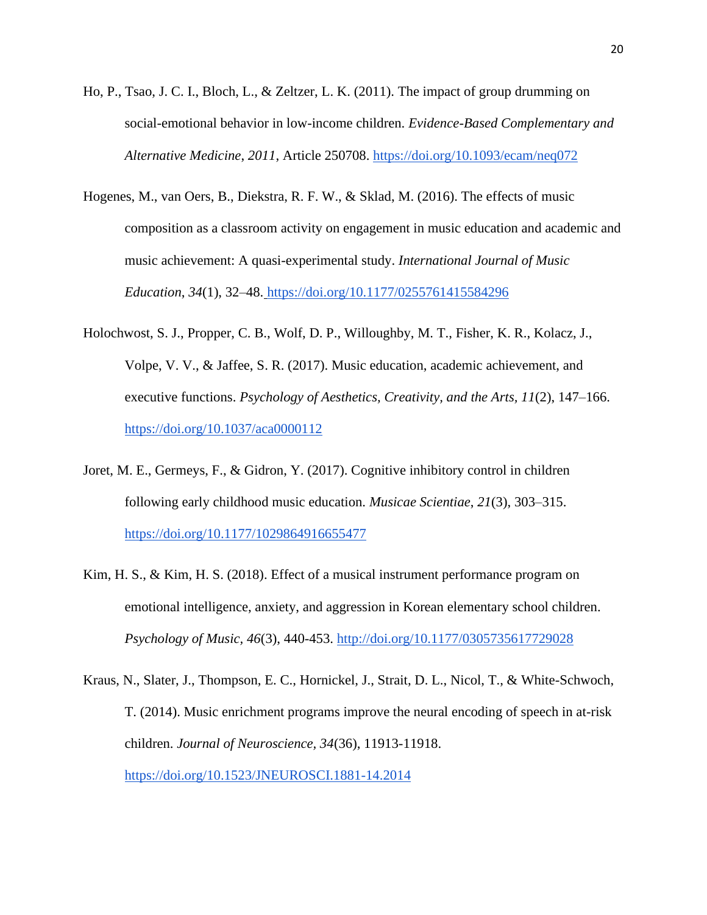- Ho, P., Tsao, J. C. I., Bloch, L., & Zeltzer, L. K. (2011). The impact of group drumming on social-emotional behavior in low-income children. *Evidence-Based Complementary and Alternative Medicine*, *2011*, Article 250708.<https://doi.org/10.1093/ecam/neq072>
- Hogenes, M., van Oers, B., Diekstra, R. F. W., & Sklad, M. (2016). The effects of music composition as a classroom activity on engagement in music education and academic and music achievement: A quasi-experimental study. *International Journal of Music Education*, *34*(1), 32–48. <https://doi.org/10.1177/0255761415584296>
- Holochwost, S. J., Propper, C. B., Wolf, D. P., Willoughby, M. T., Fisher, K. R., Kolacz, J., Volpe, V. V., & Jaffee, S. R. (2017). Music education, academic achievement, and executive functions. *Psychology of Aesthetics, Creativity, and the Arts, 11*(2), 147–166. <https://doi.org/10.1037/aca0000112>
- Joret, M. E., Germeys, F., & Gidron, Y. (2017). Cognitive inhibitory control in children following early childhood music education. *Musicae Scientiae*, *21*(3), 303–315[.](https://doi.org/10.1177/1029864916655477) <https://doi.org/10.1177/1029864916655477>
- Kim, H. S., & Kim, H. S. (2018). Effect of a musical instrument performance program on emotional intelligence, anxiety, and aggression in Korean elementary school children. *Psychology of Music, 46*(3), 440-453.<http://doi.org/10.1177/0305735617729028>
- Kraus, N., Slater, J., Thompson, E. C., Hornickel, J., Strait, D. L., Nicol, T., & White-Schwoch, T. (2014). Music enrichment programs improve the neural encoding of speech in at-risk children. *Journal of Neuroscience, 34*(36), 11913-11918[.](https://doi.org/10.1523/JNEUROSCI.1881-14.2014) <https://doi.org/10.1523/JNEUROSCI.1881-14.2014>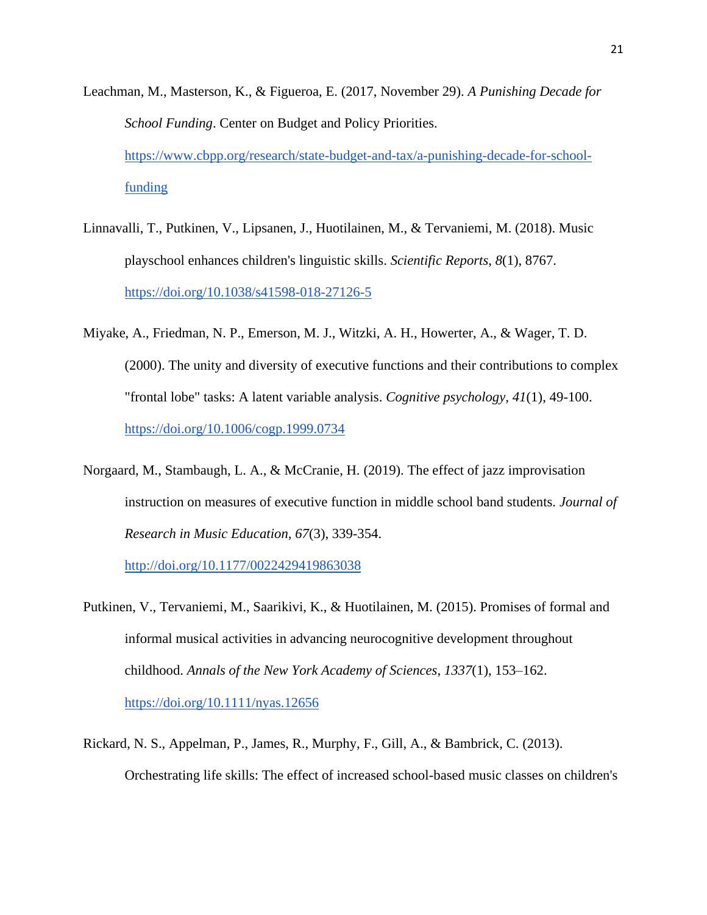- Leachman, M., Masterson, K., & Figueroa, E. (2017, November 29). *A Punishing Decade for School Funding*. Center on Budget and Policy Priorities[.](https://www.cbpp.org/research/state-budget-and-tax/a-punishing-decade-for-school-funding) [https://www.cbpp.org/research/state-budget-and-tax/a-punishing-decade-for-school](https://www.cbpp.org/research/state-budget-and-tax/a-punishing-decade-for-school-funding)[funding](https://www.cbpp.org/research/state-budget-and-tax/a-punishing-decade-for-school-funding)
- Linnavalli, T., Putkinen, V., Lipsanen, J., Huotilainen, M., & Tervaniemi, M. (2018). Music playschool enhances children's linguistic skills. *Scientific Reports*, *8*(1), 8767[.](https://doi.org/10.1038/s41598-018-27126-5) <https://doi.org/10.1038/s41598-018-27126-5>
- Miyake, A., Friedman, N. P., Emerson, M. J., Witzki, A. H., Howerter, A., & Wager, T. D. (2000). The unity and diversity of executive functions and their contributions to complex "frontal lobe" tasks: A latent variable analysis. *Cognitive psychology, 41*(1), 49-100[.](https://doi.org/10.1006/cogp.1999.0734) <https://doi.org/10.1006/cogp.1999.0734>
- Norgaard, M., Stambaugh, L. A., & McCranie, H. (2019). The effect of jazz improvisation instruction on measures of executive function in middle school band students. *Journal of Research in Music Education, 67*(3), 339-354.

<http://doi.org/10.1177/0022429419863038>

- Putkinen, V., Tervaniemi, M., Saarikivi, K., & Huotilainen, M. (2015). Promises of formal and informal musical activities in advancing neurocognitive development throughout childhood. *Annals of the New York Academy of Sciences*, *1337*(1), 153–162[.](https://doi.org/10.1111/nyas.12656) <https://doi.org/10.1111/nyas.12656>
- Rickard, N. S., Appelman, P., James, R., Murphy, F., Gill, A., & Bambrick, C. (2013). Orchestrating life skills: The effect of increased school-based music classes on children's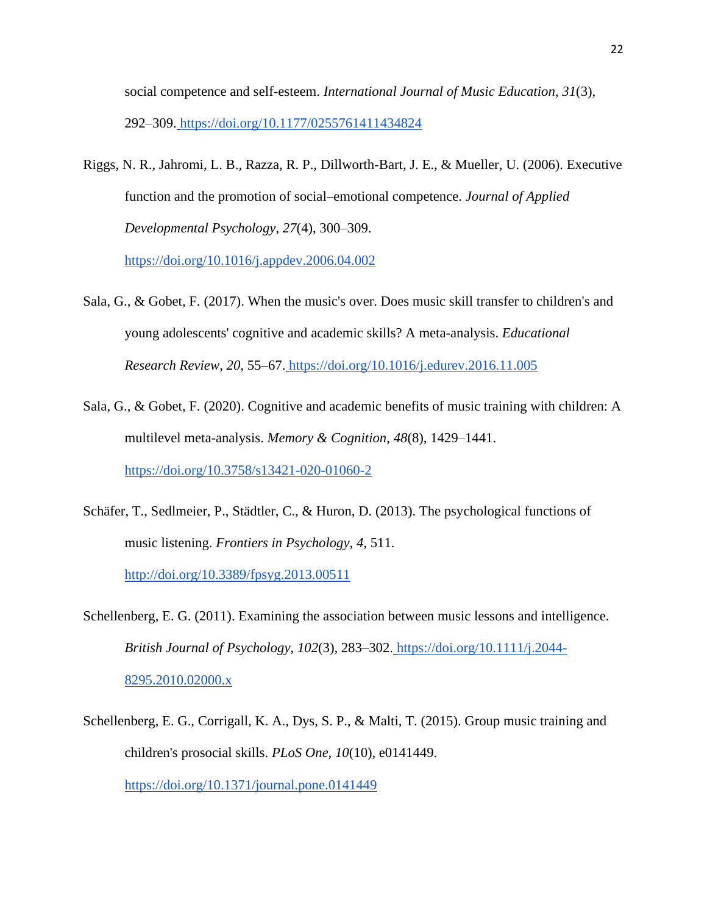social competence and self-esteem. *International Journal of Music Education*, *31*(3), 292–309. <https://doi.org/10.1177/0255761411434824>

Riggs, N. R., Jahromi, L. B., Razza, R. P., Dillworth-Bart, J. E., & Mueller, U. (2006). Executive function and the promotion of social–emotional competence. *Journal of Applied Developmental Psychology*, *27*(4), 300–309[.](https://doi.org/10.1016/j.appdev.2006.04.002)

<https://doi.org/10.1016/j.appdev.2006.04.002>

- Sala, G., & Gobet, F. (2017). When the music's over. Does music skill transfer to children's and young adolescents' cognitive and academic skills? A meta-analysis. *Educational Research Review*, *20*, 55–67. <https://doi.org/10.1016/j.edurev.2016.11.005>
- Sala, G., & Gobet, F. (2020). Cognitive and academic benefits of music training with children: A multilevel meta-analysis. *Memory & Cognition*, *48*(8), 1429–1441[.](https://doi.org/10.3758/s13421-020-01060-2) <https://doi.org/10.3758/s13421-020-01060-2>
- Schäfer, T., Sedlmeier, P., Städtler, C., & Huron, D. (2013). The psychological functions of music listening. *Frontiers in Psychology, 4*, 511. <http://doi.org/10.3389/fpsyg.2013.00511>
- Schellenberg, E. G. (2011). Examining the association between music lessons and intelligence. *British Journal of Psychology*, *102*(3), 283–302. [https://doi.org/10.1111/j.2044-](https://doi.org/10.1111/j.2044-8295.2010.02000.x) [8295.2010.02000.x](https://doi.org/10.1111/j.2044-8295.2010.02000.x)
- Schellenberg, E. G., Corrigall, K. A., Dys, S. P., & Malti, T. (2015). Group music training and children's prosocial skills. *PLoS One, 10*(10), e0141449. <https://doi.org/10.1371/journal.pone.0141449>